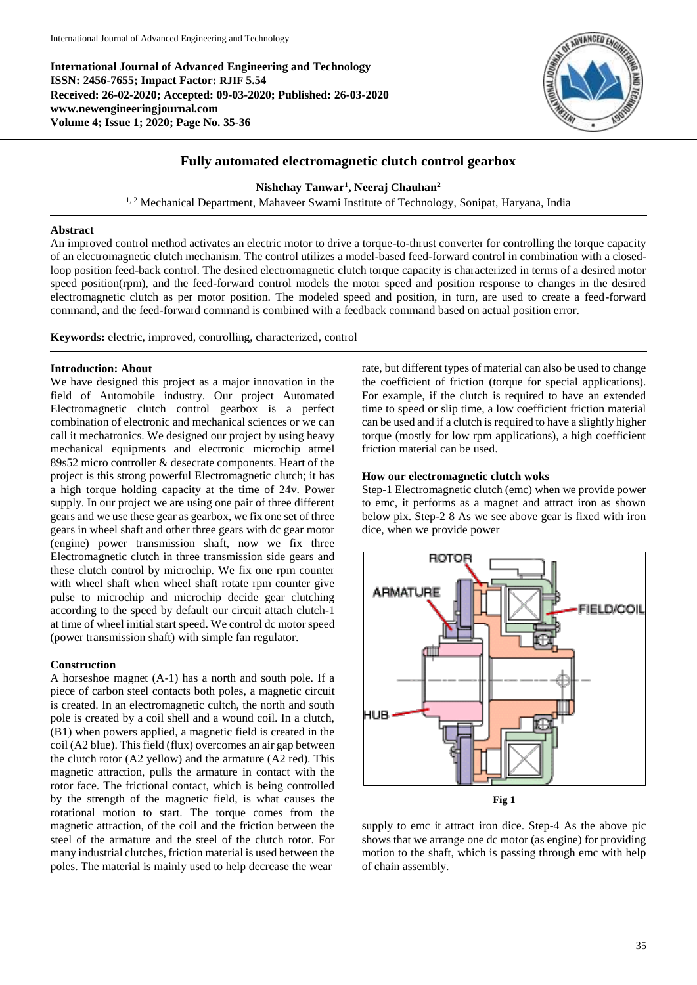**International Journal of Advanced Engineering and Technology ISSN: 2456-7655; Impact Factor: RJIF 5.54 Received: 26-02-2020; Accepted: 09-03-2020; Published: 26-03-2020 www.newengineeringjournal.com Volume 4; Issue 1; 2020; Page No. 35-36**



# **Fully automated electromagnetic clutch control gearbox**

**Nishchay Tanwar<sup>1</sup> , Neeraj Chauhan 2**

<sup>1, 2</sup> Mechanical Department, Mahaveer Swami Institute of Technology, Sonipat, Haryana, India

#### **Abstract**

An improved control method activates an electric motor to drive a torque-to-thrust converter for controlling the torque capacity of an electromagnetic clutch mechanism. The control utilizes a model-based feed-forward control in combination with a closedloop position feed-back control. The desired electromagnetic clutch torque capacity is characterized in terms of a desired motor speed position(rpm), and the feed-forward control models the motor speed and position response to changes in the desired electromagnetic clutch as per motor position. The modeled speed and position, in turn, are used to create a feed-forward command, and the feed-forward command is combined with a feedback command based on actual position error.

**Keywords:** electric, improved, controlling, characterized, control

#### **Introduction: About**

We have designed this project as a major innovation in the field of Automobile industry. Our project Automated Electromagnetic clutch control gearbox is a perfect combination of electronic and mechanical sciences or we can call it mechatronics. We designed our project by using heavy mechanical equipments and electronic microchip atmel 89s52 micro controller & desecrate components. Heart of the project is this strong powerful Electromagnetic clutch; it has a high torque holding capacity at the time of 24v. Power supply. In our project we are using one pair of three different gears and we use these gear as gearbox, we fix one set of three gears in wheel shaft and other three gears with dc gear motor (engine) power transmission shaft, now we fix three Electromagnetic clutch in three transmission side gears and these clutch control by microchip. We fix one rpm counter with wheel shaft when wheel shaft rotate rpm counter give pulse to microchip and microchip decide gear clutching according to the speed by default our circuit attach clutch-1 at time of wheel initial start speed. We control dc motor speed (power transmission shaft) with simple fan regulator.

## **Construction**

A horseshoe magnet (A-1) has a north and south pole. If a piece of carbon steel contacts both poles, a magnetic circuit is created. In an electromagnetic cultch, the north and south pole is created by a coil shell and a wound coil. In a clutch, (B1) when powers applied, a magnetic field is created in the coil (A2 blue). This field (flux) overcomes an air gap between the clutch rotor (A2 yellow) and the armature (A2 red). This magnetic attraction, pulls the armature in contact with the rotor face. The frictional contact, which is being controlled by the strength of the magnetic field, is what causes the rotational motion to start. The torque comes from the magnetic attraction, of the coil and the friction between the steel of the armature and the steel of the clutch rotor. For many industrial clutches, friction material is used between the poles. The material is mainly used to help decrease the wear

rate, but different types of material can also be used to change the coefficient of friction (torque for special applications). For example, if the clutch is required to have an extended time to speed or slip time, a low coefficient friction material can be used and if a clutch is required to have a slightly higher torque (mostly for low rpm applications), a high coefficient friction material can be used.

#### **How our electromagnetic clutch woks**

Step-1 Electromagnetic clutch (emc) when we provide power to emc, it performs as a magnet and attract iron as shown below pix. Step-2 8 As we see above gear is fixed with iron dice, when we provide power



supply to emc it attract iron dice. Step-4 As the above pic shows that we arrange one dc motor (as engine) for providing motion to the shaft, which is passing through emc with help of chain assembly.